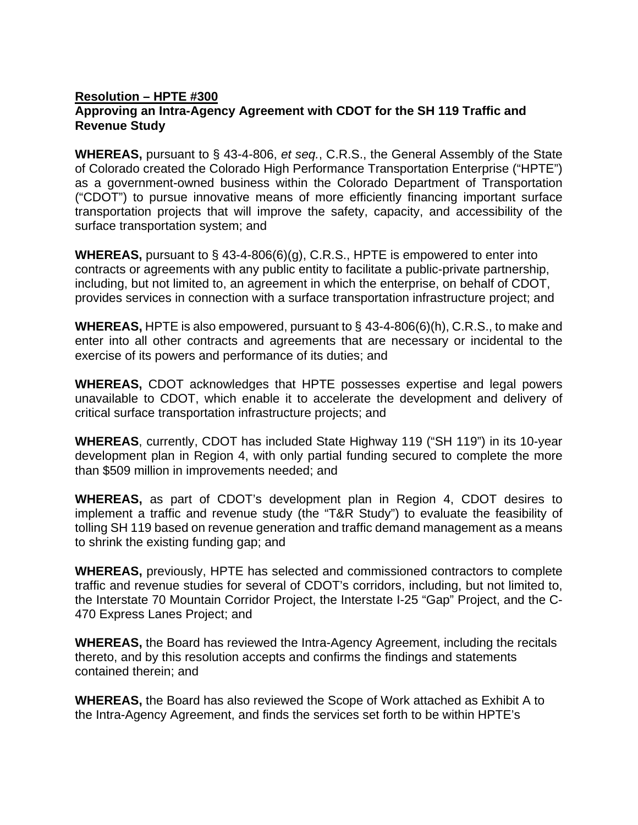## **Resolution – HPTE #300 Approving an Intra-Agency Agreement with CDOT for the SH 119 Traffic and Revenue Study**

**WHEREAS,** pursuant to § 43-4-806, *et seq.*, C.R.S., the General Assembly of the State of Colorado created the Colorado High Performance Transportation Enterprise ("HPTE") as a government-owned business within the Colorado Department of Transportation ("CDOT") to pursue innovative means of more efficiently financing important surface transportation projects that will improve the safety, capacity, and accessibility of the surface transportation system; and

**WHEREAS,** pursuant to § 43-4-806(6)(g), C.R.S., HPTE is empowered to enter into contracts or agreements with any public entity to facilitate a public-private partnership, including, but not limited to, an agreement in which the enterprise, on behalf of CDOT, provides services in connection with a surface transportation infrastructure project; and

**WHEREAS,** HPTE is also empowered, pursuant to § 43-4-806(6)(h), C.R.S., to make and enter into all other contracts and agreements that are necessary or incidental to the exercise of its powers and performance of its duties; and

**WHEREAS,** CDOT acknowledges that HPTE possesses expertise and legal powers unavailable to CDOT, which enable it to accelerate the development and delivery of critical surface transportation infrastructure projects; and

**WHEREAS**, currently, CDOT has included State Highway 119 ("SH 119") in its 10-year development plan in Region 4, with only partial funding secured to complete the more than \$509 million in improvements needed; and

**WHEREAS,** as part of CDOT's development plan in Region 4, CDOT desires to implement a traffic and revenue study (the "T&R Study") to evaluate the feasibility of tolling SH 119 based on revenue generation and traffic demand management as a means to shrink the existing funding gap; and

**WHEREAS,** previously, HPTE has selected and commissioned contractors to complete traffic and revenue studies for several of CDOT's corridors, including, but not limited to, the Interstate 70 Mountain Corridor Project, the Interstate I-25 "Gap" Project, and the C-470 Express Lanes Project; and

**WHEREAS,** the Board has reviewed the Intra-Agency Agreement, including the recitals thereto, and by this resolution accepts and confirms the findings and statements contained therein; and

**WHEREAS,** the Board has also reviewed the Scope of Work attached as Exhibit A to the Intra-Agency Agreement, and finds the services set forth to be within HPTE's